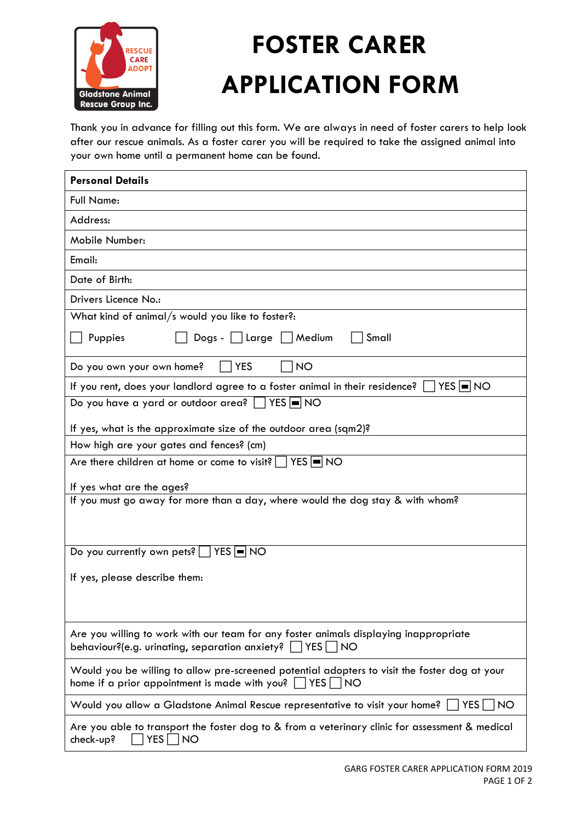

## **FOSTER CARER APPLICATION FORM**

Thank you in advance for filling out this form. We are always in need of foster carers to help look after our rescue animals. As a foster carer you will be required to take the assigned animal into your own home until a permanent home can be found.

| <b>Personal Details</b>                                                                                                                                        |  |
|----------------------------------------------------------------------------------------------------------------------------------------------------------------|--|
| <b>Full Name:</b>                                                                                                                                              |  |
| Address:                                                                                                                                                       |  |
| Mobile Number:                                                                                                                                                 |  |
| Email:                                                                                                                                                         |  |
| Date of Birth:                                                                                                                                                 |  |
| Drivers Licence No.:                                                                                                                                           |  |
| What kind of animal/s would you like to foster?:                                                                                                               |  |
| Puppies<br>Dogs -     Large     Medium<br>Small                                                                                                                |  |
| <b>NO</b><br><b>YES</b><br>Do you own your own home?                                                                                                           |  |
| If you rent, does your landlord agree to a foster animal in their residence?<br>  YES  ■  NO                                                                   |  |
| Do you have a yard or outdoor area? [7] YES ON                                                                                                                 |  |
| If yes, what is the approximate size of the outdoor area (sqm2)?                                                                                               |  |
| How high are your gates and fences? (cm)                                                                                                                       |  |
| Are there children at home or come to visit? $\Box$ YES $\Box$ NO                                                                                              |  |
| If yes what are the ages?                                                                                                                                      |  |
| If you must go away for more than a day, where would the dog stay & with whom?                                                                                 |  |
|                                                                                                                                                                |  |
|                                                                                                                                                                |  |
| Do you currently own pets?   YES ■ NO                                                                                                                          |  |
| If yes, please describe them:                                                                                                                                  |  |
|                                                                                                                                                                |  |
|                                                                                                                                                                |  |
| Are you willing to work with our team for any foster animals displaying inappropriate<br>behaviour?(e.g. urinating, separation anxiety?<br>YES  <br><b>NO</b>  |  |
| Would you be willing to allow pre-screened potential adopters to visit the foster dog at your<br>home if a prior appointment is made with you?<br> YES <br> NO |  |
| Would you allow a Gladstone Animal Rescue representative to visit your home?<br>YES  <br><b>NO</b>                                                             |  |
| Are you able to transport the foster dog to & from a veterinary clinic for assessment & medical<br>check-up?<br>YES   NO                                       |  |